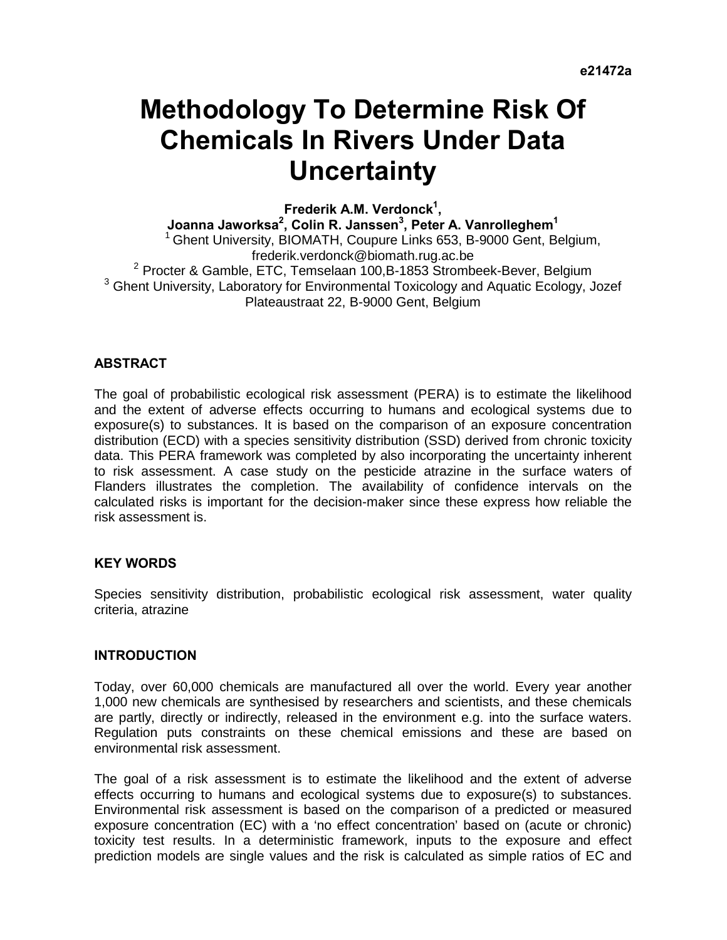# **Methodology To Determine Risk Of Chemicals In Rivers Under Data Uncertainty**

**Frederik A.M. Verdonck1 ,** 

Joanna Jaworksa<sup>2</sup>, Colin R. Janssen<sup>3</sup>, Peter A. Vanrolleghem<sup>1</sup> <sup>1</sup> Ghent University, BIOMATH, Coupure Links 653, B-9000 Gent, Belgium, frederik.verdonck@biomath.rug.ac.be<br><sup>2</sup> Brecter & Gamble, ETC, Temselaan 100 B 1853 Strembe Procter & Gamble, ETC, Temselaan 100,B-1853 Strombeek-Bever, Belgium  $^3$  Chent University Lebertery for Environmental Texicology and Aquatio Ecclesy U <sup>3</sup> Ghent University, Laboratory for Environmental Toxicology and Aquatic Ecology, Jozef Plateaustraat 22, B-9000 Gent, Belgium

# **ABSTRACT**

The goal of probabilistic ecological risk assessment (PERA) is to estimate the likelihood and the extent of adverse effects occurring to humans and ecological systems due to exposure(s) to substances. It is based on the comparison of an exposure concentration distribution (ECD) with a species sensitivity distribution (SSD) derived from chronic toxicity data. This PERA framework was completed by also incorporating the uncertainty inherent to risk assessment. A case study on the pesticide atrazine in the surface waters of Flanders illustrates the completion. The availability of confidence intervals on the calculated risks is important for the decision-maker since these express how reliable the risk assessment is.

# **KEY WORDS**

Species sensitivity distribution, probabilistic ecological risk assessment, water quality criteria, atrazine

#### **INTRODUCTION**

Today, over 60,000 chemicals are manufactured all over the world. Every year another 1,000 new chemicals are synthesised by researchers and scientists, and these chemicals are partly, directly or indirectly, released in the environment e.g. into the surface waters. Regulation puts constraints on these chemical emissions and these are based on environmental risk assessment.

The goal of a risk assessment is to estimate the likelihood and the extent of adverse effects occurring to humans and ecological systems due to exposure(s) to substances. Environmental risk assessment is based on the comparison of a predicted or measured exposure concentration (EC) with a 'no effect concentration' based on (acute or chronic) toxicity test results. In a deterministic framework, inputs to the exposure and effect prediction models are single values and the risk is calculated as simple ratios of EC and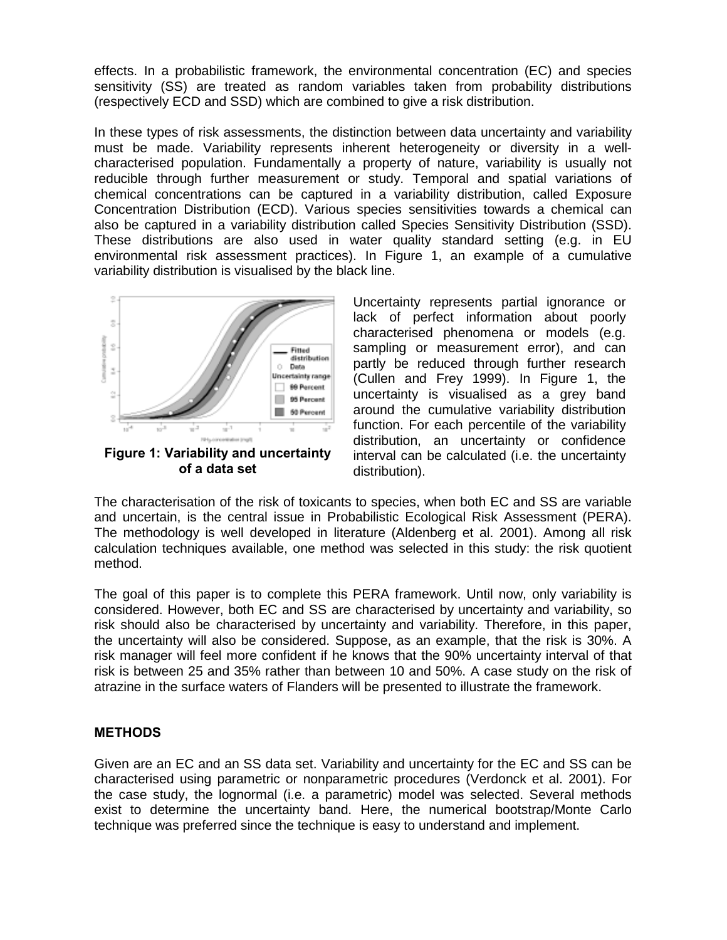effects. In a probabilistic framework, the environmental concentration (EC) and species sensitivity (SS) are treated as random variables taken from probability distributions (respectively ECD and SSD) which are combined to give a risk distribution.

In these types of risk assessments, the distinction between data uncertainty and variability must be made. Variability represents inherent heterogeneity or diversity in a wellcharacterised population. Fundamentally a property of nature, variability is usually not reducible through further measurement or study. Temporal and spatial variations of chemical concentrations can be captured in a variability distribution, called Exposure Concentration Distribution (ECD). Various species sensitivities towards a chemical can also be captured in a variability distribution called Species Sensitivity Distribution (SSD). These distributions are also used in water quality standard setting (e.g. in EU environmental risk assessment practices). In Figure 1, an example of a cumulative variability distribution is visualised by the black line.



**of a data set** 

Uncertainty represents partial ignorance or lack of perfect information about poorly characterised phenomena or models (e.g. sampling or measurement error), and can partly be reduced through further research (Cullen and Frey 1999). In Figure 1, the uncertainty is visualised as a grey band around the cumulative variability distribution function. For each percentile of the variability distribution, an uncertainty or confidence interval can be calculated (i.e. the uncertainty distribution).

The characterisation of the risk of toxicants to species, when both EC and SS are variable and uncertain, is the central issue in Probabilistic Ecological Risk Assessment (PERA). The methodology is well developed in literature (Aldenberg et al. 2001). Among all risk calculation techniques available, one method was selected in this study: the risk quotient method.

The goal of this paper is to complete this PERA framework. Until now, only variability is considered. However, both EC and SS are characterised by uncertainty and variability, so risk should also be characterised by uncertainty and variability. Therefore, in this paper, the uncertainty will also be considered. Suppose, as an example, that the risk is 30%. A risk manager will feel more confident if he knows that the 90% uncertainty interval of that risk is between 25 and 35% rather than between 10 and 50%. A case study on the risk of atrazine in the surface waters of Flanders will be presented to illustrate the framework.

# **METHODS**

Given are an EC and an SS data set. Variability and uncertainty for the EC and SS can be characterised using parametric or nonparametric procedures (Verdonck et al. 2001). For the case study, the lognormal (i.e. a parametric) model was selected. Several methods exist to determine the uncertainty band. Here, the numerical bootstrap/Monte Carlo technique was preferred since the technique is easy to understand and implement.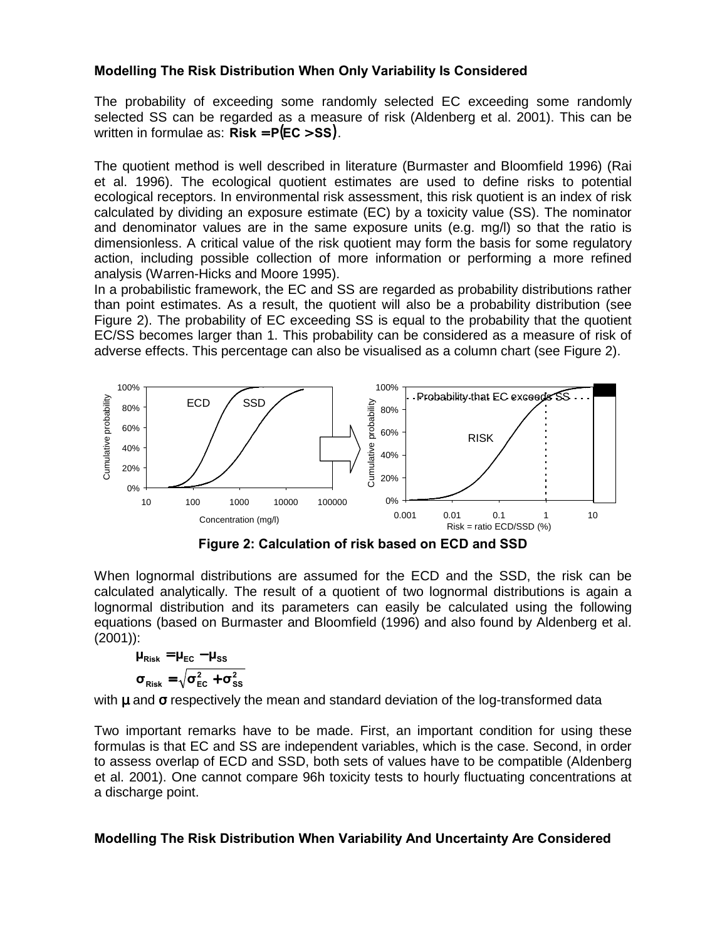# **Modelling The Risk Distribution When Only Variability Is Considered**

The probability of exceeding some randomly selected EC exceeding some randomly selected SS can be regarded as a measure of risk (Aldenberg et al. 2001). This can be written in formulae as:  $Risk = P(EC > SS)$ .

The quotient method is well described in literature (Burmaster and Bloomfield 1996) (Rai et al. 1996). The ecological quotient estimates are used to define risks to potential ecological receptors. In environmental risk assessment, this risk quotient is an index of risk calculated by dividing an exposure estimate (EC) by a toxicity value (SS). The nominator and denominator values are in the same exposure units (e.g. mg/l) so that the ratio is dimensionless. A critical value of the risk quotient may form the basis for some regulatory action, including possible collection of more information or performing a more refined analysis (Warren-Hicks and Moore 1995).

In a probabilistic framework, the EC and SS are regarded as probability distributions rather than point estimates. As a result, the quotient will also be a probability distribution (see Figure 2). The probability of EC exceeding SS is equal to the probability that the quotient EC/SS becomes larger than 1. This probability can be considered as a measure of risk of adverse effects. This percentage can also be visualised as a column chart (see Figure 2).



**Figure 2: Calculation of risk based on ECD and SSD** 

When lognormal distributions are assumed for the ECD and the SSD, the risk can be calculated analytically. The result of a quotient of two lognormal distributions is again a lognormal distribution and its parameters can easily be calculated using the following equations (based on Burmaster and Bloomfield (1996) and also found by Aldenberg et al. (2001)):

$$
\begin{aligned} \mu_{\text{Risk}} &= \mu_{\text{EC}} - \mu_{\text{SS}} \\ \sigma_{\text{Risk}} &= \sqrt{\sigma_{\text{EC}}^2 + \sigma_{\text{SS}}^2} \end{aligned}
$$

with  $\mu$  and  $\sigma$  respectively the mean and standard deviation of the log-transformed data

Two important remarks have to be made. First, an important condition for using these formulas is that EC and SS are independent variables, which is the case. Second, in order to assess overlap of ECD and SSD, both sets of values have to be compatible (Aldenberg et al. 2001). One cannot compare 96h toxicity tests to hourly fluctuating concentrations at a discharge point.

# **Modelling The Risk Distribution When Variability And Uncertainty Are Considered**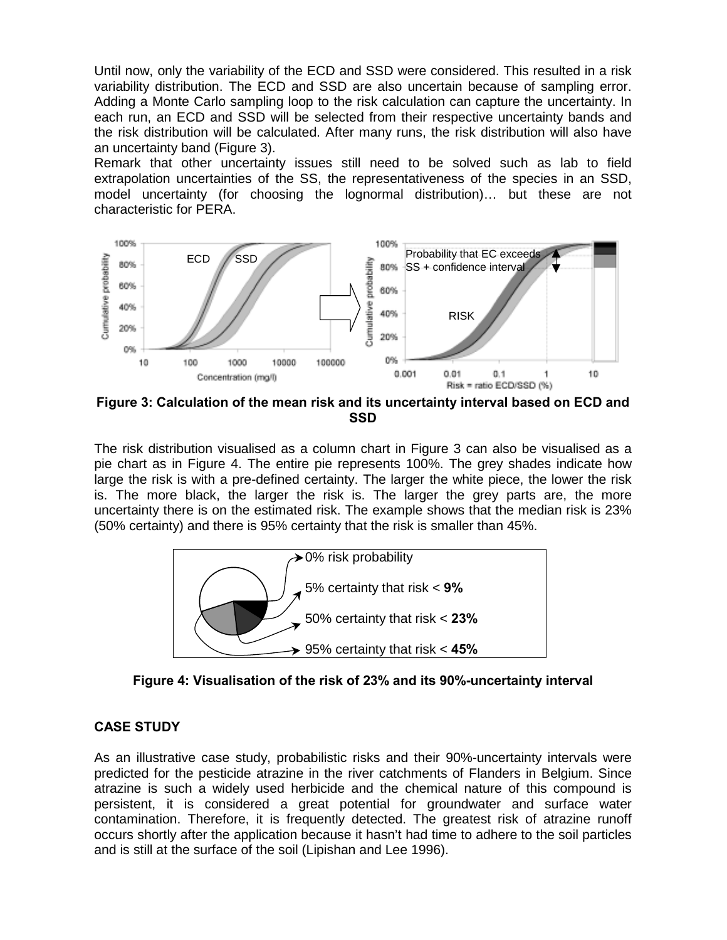Until now, only the variability of the ECD and SSD were considered. This resulted in a risk variability distribution. The ECD and SSD are also uncertain because of sampling error. Adding a Monte Carlo sampling loop to the risk calculation can capture the uncertainty. In each run, an ECD and SSD will be selected from their respective uncertainty bands and the risk distribution will be calculated. After many runs, the risk distribution will also have an uncertainty band (Figure 3).

Remark that other uncertainty issues still need to be solved such as lab to field extrapolation uncertainties of the SS, the representativeness of the species in an SSD, model uncertainty (for choosing the lognormal distribution)… but these are not characteristic for PERA.



**SSD** 

The risk distribution visualised as a column chart in Figure 3 can also be visualised as a pie chart as in Figure 4. The entire pie represents 100%. The grey shades indicate how large the risk is with a pre-defined certainty. The larger the white piece, the lower the risk is. The more black, the larger the risk is. The larger the grey parts are, the more uncertainty there is on the estimated risk. The example shows that the median risk is 23% (50% certainty) and there is 95% certainty that the risk is smaller than 45%.





# **CASE STUDY**

As an illustrative case study, probabilistic risks and their 90%-uncertainty intervals were predicted for the pesticide atrazine in the river catchments of Flanders in Belgium. Since atrazine is such a widely used herbicide and the chemical nature of this compound is persistent, it is considered a great potential for groundwater and surface water contamination. Therefore, it is frequently detected. The greatest risk of atrazine runoff occurs shortly after the application because it hasn't had time to adhere to the soil particles and is still at the surface of the soil (Lipishan and Lee 1996).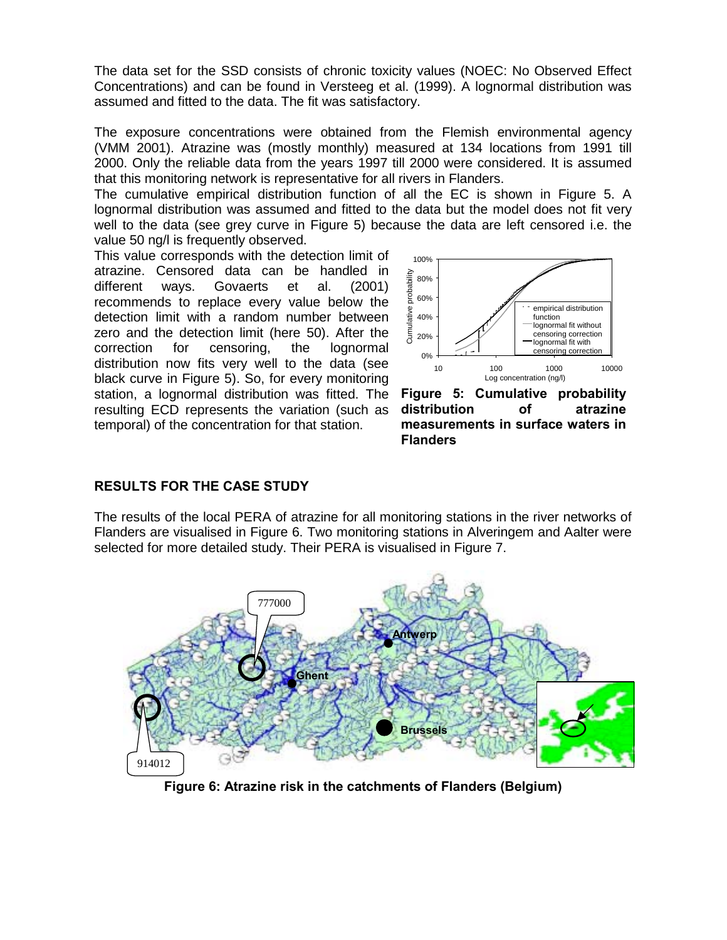The data set for the SSD consists of chronic toxicity values (NOEC: No Observed Effect Concentrations) and can be found in Versteeg et al. (1999). A lognormal distribution was assumed and fitted to the data. The fit was satisfactory.

The exposure concentrations were obtained from the Flemish environmental agency (VMM 2001). Atrazine was (mostly monthly) measured at 134 locations from 1991 till 2000. Only the reliable data from the years 1997 till 2000 were considered. It is assumed that this monitoring network is representative for all rivers in Flanders.

The cumulative empirical distribution function of all the EC is shown in Figure 5. A lognormal distribution was assumed and fitted to the data but the model does not fit very well to the data (see grey curve in Figure 5) because the data are left censored i.e. the value 50 ng/l is frequently observed.

This value corresponds with the detection limit of atrazine. Censored data can be handled in different ways. Govaerts et al. (2001) recommends to replace every value below the detection limit with a random number between zero and the detection limit (here 50). After the correction for censoring, the lognormal distribution now fits very well to the data (see black curve in Figure 5). So, for every monitoring station, a lognormal distribution was fitted. The resulting ECD represents the variation (such as temporal) of the concentration for that station.



**Figure 5: Cumulative probability distribution of atrazine measurements in surface waters in Flanders** 

### **RESULTS FOR THE CASE STUDY**

The results of the local PERA of atrazine for all monitoring stations in the river networks of Flanders are visualised in Figure 6. Two monitoring stations in Alveringem and Aalter were selected for more detailed study. Their PERA is visualised in Figure 7.



**Figure 6: Atrazine risk in the catchments of Flanders (Belgium)**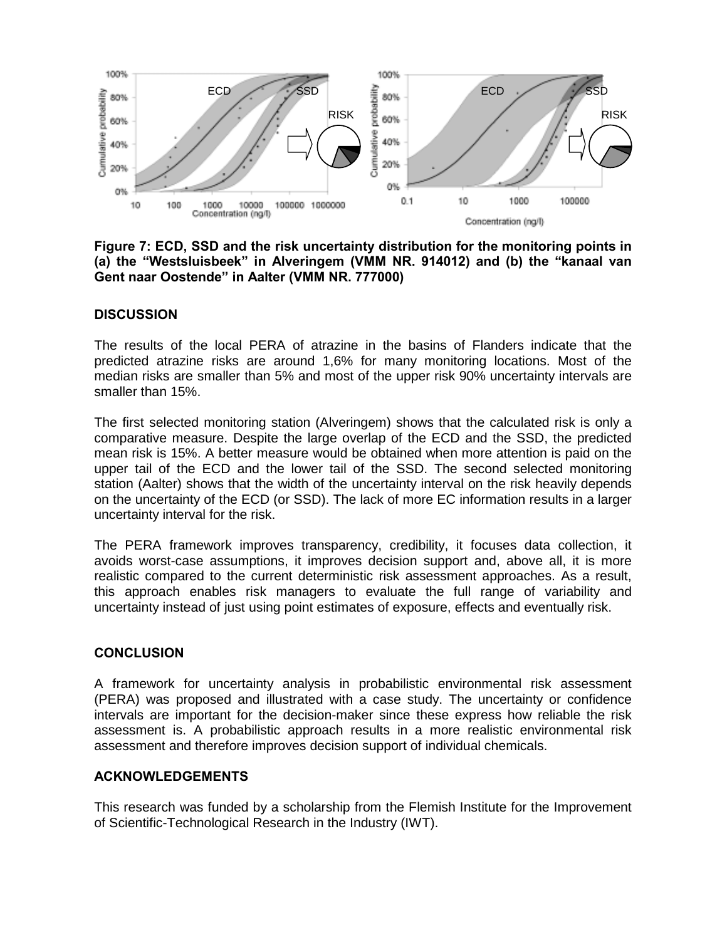

**Figure 7: ECD, SSD and the risk uncertainty distribution for the monitoring points in**  (a) the "Westsluisbeek" in Alveringem (VMM NR. 914012) and (b) the "kanaal van Gent naar Oostende" in Aalter (VMM NR. 777000)

## **DISCUSSION**

The results of the local PERA of atrazine in the basins of Flanders indicate that the predicted atrazine risks are around 1,6% for many monitoring locations. Most of the median risks are smaller than 5% and most of the upper risk 90% uncertainty intervals are smaller than 15%.

The first selected monitoring station (Alveringem) shows that the calculated risk is only a comparative measure. Despite the large overlap of the ECD and the SSD, the predicted mean risk is 15%. A better measure would be obtained when more attention is paid on the upper tail of the ECD and the lower tail of the SSD. The second selected monitoring station (Aalter) shows that the width of the uncertainty interval on the risk heavily depends on the uncertainty of the ECD (or SSD). The lack of more EC information results in a larger uncertainty interval for the risk.

The PERA framework improves transparency, credibility, it focuses data collection, it avoids worst-case assumptions, it improves decision support and, above all, it is more realistic compared to the current deterministic risk assessment approaches. As a result, this approach enables risk managers to evaluate the full range of variability and uncertainty instead of just using point estimates of exposure, effects and eventually risk.

# **CONCLUSION**

A framework for uncertainty analysis in probabilistic environmental risk assessment (PERA) was proposed and illustrated with a case study. The uncertainty or confidence intervals are important for the decision-maker since these express how reliable the risk assessment is. A probabilistic approach results in a more realistic environmental risk assessment and therefore improves decision support of individual chemicals.

#### **ACKNOWLEDGEMENTS**

This research was funded by a scholarship from the Flemish Institute for the Improvement of Scientific-Technological Research in the Industry (IWT).